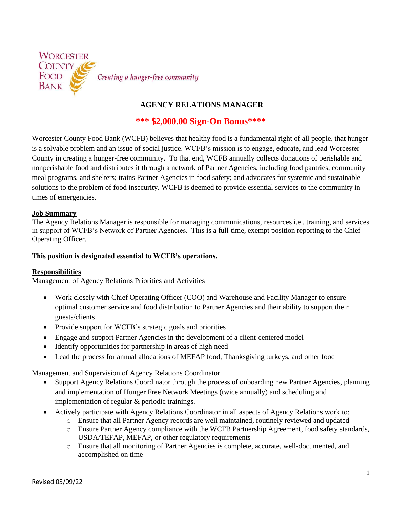

## **AGENCY RELATIONS MANAGER**

# **\*\*\* \$2,000.00 Sign-On Bonus\*\*\*\***

Worcester County Food Bank (WCFB) believes that healthy food is a fundamental right of all people, that hunger is a solvable problem and an issue of social justice. WCFB's mission is to engage, educate, and lead Worcester County in creating a hunger-free community. To that end, WCFB annually collects donations of perishable and nonperishable food and distributes it through a network of Partner Agencies, including food pantries, community meal programs, and shelters; trains Partner Agencies in food safety; and advocates for systemic and sustainable solutions to the problem of food insecurity. WCFB is deemed to provide essential services to the community in times of emergencies.

### **Job Summary**

The Agency Relations Manager is responsible for managing communications, resources i.e., training, and services in support of WCFB's Network of Partner Agencies. This is a full-time, exempt position reporting to the Chief Operating Officer.

### **This position is designated essential to WCFB's operations.**

### **Responsibilities**

Management of Agency Relations Priorities and Activities

- Work closely with Chief Operating Officer (COO) and Warehouse and Facility Manager to ensure optimal customer service and food distribution to Partner Agencies and their ability to support their guests/clients
- Provide support for WCFB's strategic goals and priorities
- Engage and support Partner Agencies in the development of a client-centered model
- Identify opportunities for partnership in areas of high need
- Lead the process for annual allocations of MEFAP food, Thanksgiving turkeys, and other food

Management and Supervision of Agency Relations Coordinator

- Support Agency Relations Coordinator through the process of onboarding new Partner Agencies, planning and implementation of Hunger Free Network Meetings (twice annually) and scheduling and implementation of regular & periodic trainings.
- Actively participate with Agency Relations Coordinator in all aspects of Agency Relations work to:
	- o Ensure that all Partner Agency records are well maintained, routinely reviewed and updated
	- o Ensure Partner Agency compliance with the WCFB Partnership Agreement, food safety standards, USDA/TEFAP, MEFAP, or other regulatory requirements
	- o Ensure that all monitoring of Partner Agencies is complete, accurate, well-documented, and accomplished on time